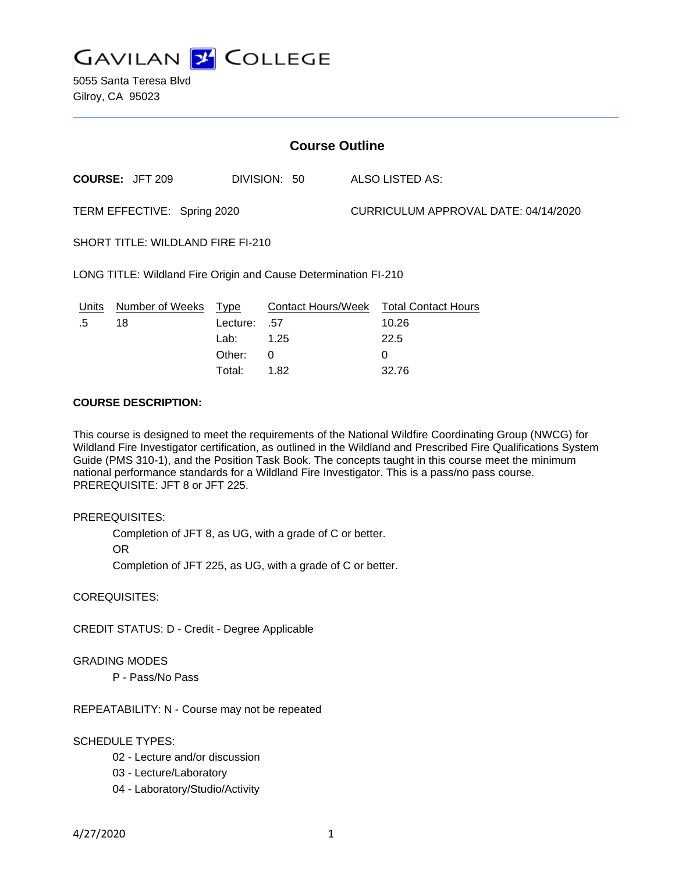

5055 Santa Teresa Blvd Gilroy, CA 95023

| <b>Course Outline</b>                                           |                        |          |                           |                                      |                            |
|-----------------------------------------------------------------|------------------------|----------|---------------------------|--------------------------------------|----------------------------|
|                                                                 | <b>COURSE: JFT 209</b> |          | DIVISION: 50              |                                      | ALSO LISTED AS:            |
| TERM EFFECTIVE: Spring 2020                                     |                        |          |                           | CURRICULUM APPROVAL DATE: 04/14/2020 |                            |
| SHORT TITLE: WILDLAND FIRE FI-210                               |                        |          |                           |                                      |                            |
| LONG TITLE: Wildland Fire Origin and Cause Determination FI-210 |                        |          |                           |                                      |                            |
| Units                                                           | Number of Weeks        | Type     | <b>Contact Hours/Week</b> |                                      | <b>Total Contact Hours</b> |
| .5                                                              | 18                     | Lecture: | .57                       |                                      | 10.26                      |
|                                                                 |                        | Lab: .   | 1.25                      |                                      | 22.5                       |
|                                                                 |                        | Other:   | 0                         |                                      | 0                          |

Total: 1.82 32.76

### **COURSE DESCRIPTION:**

This course is designed to meet the requirements of the National Wildfire Coordinating Group (NWCG) for Wildland Fire Investigator certification, as outlined in the Wildland and Prescribed Fire Qualifications System Guide (PMS 310-1), and the Position Task Book. The concepts taught in this course meet the minimum national performance standards for a Wildland Fire Investigator. This is a pass/no pass course. PREREQUISITE: JFT 8 or JFT 225.

PREREQUISITES:

Completion of JFT 8, as UG, with a grade of C or better.

OR

Completion of JFT 225, as UG, with a grade of C or better.

COREQUISITES:

CREDIT STATUS: D - Credit - Degree Applicable

#### GRADING MODES

P - Pass/No Pass

REPEATABILITY: N - Course may not be repeated

### SCHEDULE TYPES:

- 02 Lecture and/or discussion
- 03 Lecture/Laboratory
- 04 Laboratory/Studio/Activity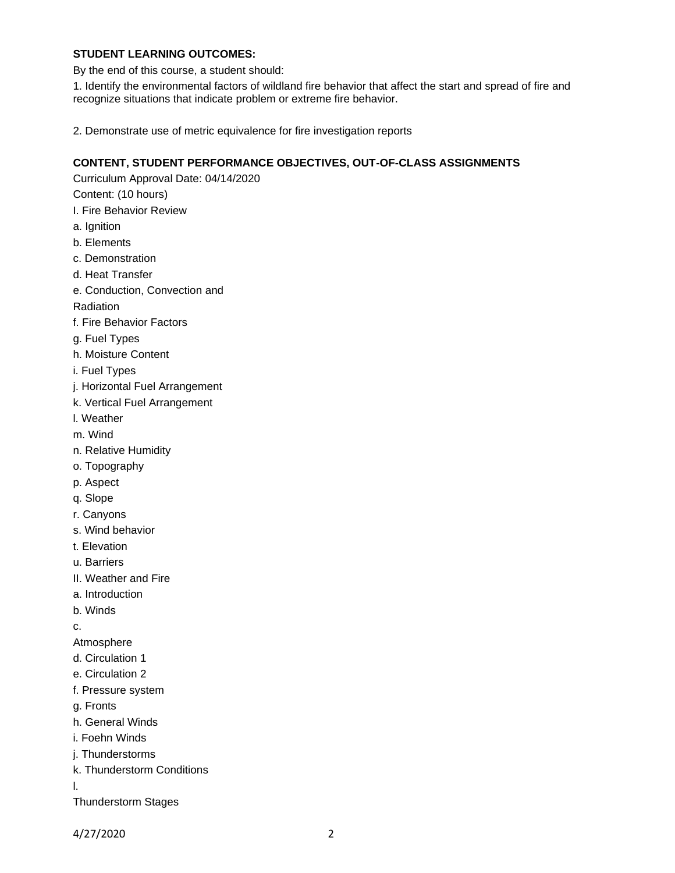### **STUDENT LEARNING OUTCOMES:**

By the end of this course, a student should:

1. Identify the environmental factors of wildland fire behavior that affect the start and spread of fire and recognize situations that indicate problem or extreme fire behavior.

2. Demonstrate use of metric equivalence for fire investigation reports

### **CONTENT, STUDENT PERFORMANCE OBJECTIVES, OUT-OF-CLASS ASSIGNMENTS**

Curriculum Approval Date: 04/14/2020

Content: (10 hours)

- I. Fire Behavior Review
- a. Ignition
- b. Elements
- c. Demonstration
- d. Heat Transfer
- e. Conduction, Convection and
- Radiation
- f. Fire Behavior Factors
- g. Fuel Types
- h. Moisture Content
- i. Fuel Types
- j. Horizontal Fuel Arrangement
- k. Vertical Fuel Arrangement
- l. Weather
- m. Wind
- n. Relative Humidity
- o. Topography
- p. Aspect
- q. Slope
- r. Canyons
- s. Wind behavior
- t. Elevation
- u. Barriers
- II. Weather and Fire
- a. Introduction
- b. Winds

c.

Atmosphere

- d. Circulation 1
- e. Circulation 2
- f. Pressure system

g. Fronts

- h. General Winds
- i. Foehn Winds
- j. Thunderstorms
- k. Thunderstorm Conditions

l.

Thunderstorm Stages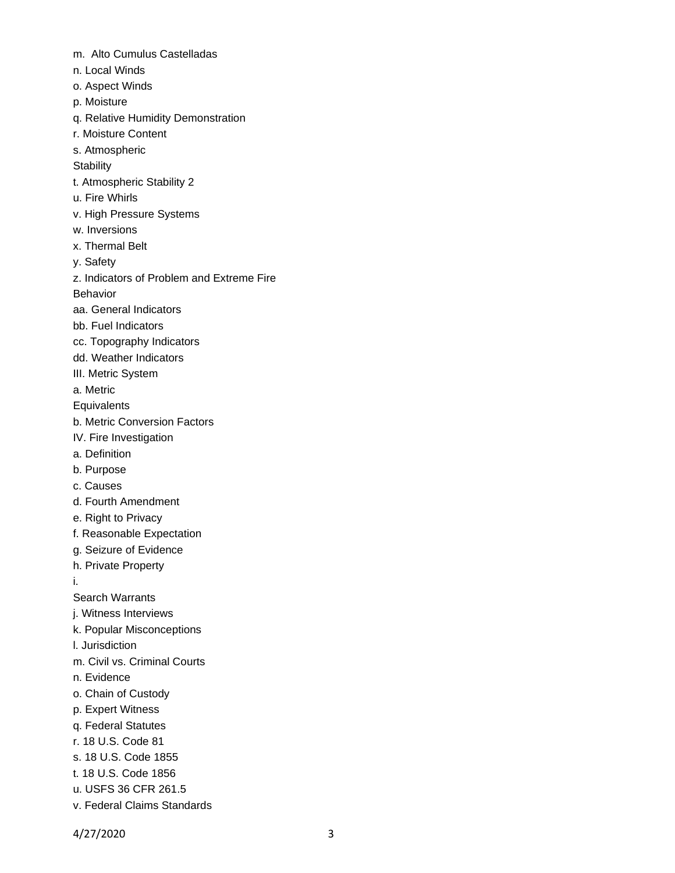- m. Alto Cumulus Castelladas
- n. Local Winds
- o. Aspect Winds
- p. Moisture
- q. Relative Humidity Demonstration
- r. Moisture Content
- s. Atmospheric

**Stability** 

- t. Atmospheric Stability 2
- u. Fire Whirls
- v. High Pressure Systems
- w. Inversions
- x. Thermal Belt
- y. Safety
- z. Indicators of Problem and Extreme Fire

Behavior

- aa. General Indicators
- bb. Fuel Indicators
- cc. Topography Indicators
- dd. Weather Indicators
- III. Metric System
- a. Metric
- **Equivalents**
- b. Metric Conversion Factors
- IV. Fire Investigation
- a. Definition
- b. Purpose
- c. Causes
- d. Fourth Amendment
- e. Right to Privacy
- f. Reasonable Expectation
- g. Seizure of Evidence
- h. Private Property
- i.
- Search Warrants
- j. Witness Interviews
- k. Popular Misconceptions
- l. Jurisdiction
- m. Civil vs. Criminal Courts
- n. Evidence
- o. Chain of Custody
- p. Expert Witness
- q. Federal Statutes
- r. 18 U.S. Code 81
- s. 18 U.S. Code 1855
- t. 18 U.S. Code 1856
- u. USFS 36 CFR 261.5
- v. Federal Claims Standards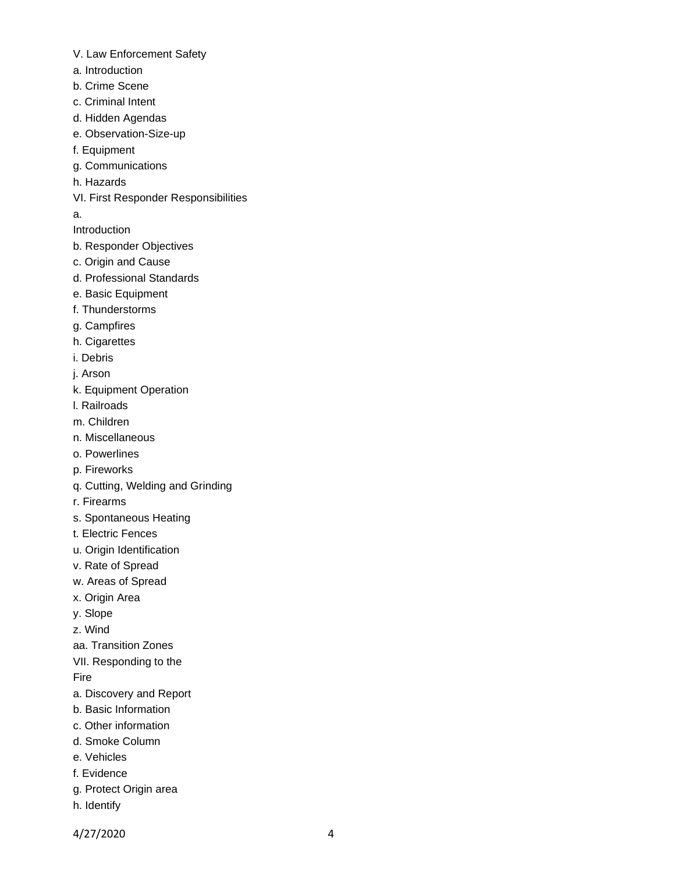- V. Law Enforcement Safety
- a. Introduction
- b. Crime Scene
- c. Criminal Intent
- d. Hidden Agendas
- e. Observation-Size-up
- f. Equipment
- g. Communications
- h. Hazards
- VI. First Responder Responsibilities
- a.

Introduction

- b. Responder Objectives
- c. Origin and Cause
- d. Professional Standards
- e. Basic Equipment
- f. Thunderstorms
- g. Campfires
- h. Cigarettes
- i. Debris
- j. Arson
- k. Equipment Operation
- l. Railroads
- m. Children
- n. Miscellaneous
- o. Powerlines
- p. Fireworks
- q. Cutting, Welding and Grinding
- r. Firearms
- s. Spontaneous Heating
- t. Electric Fences
- u. Origin Identification
- v. Rate of Spread
- w. Areas of Spread
- x. Origin Area
- y. Slope
- z. Wind
- aa. Transition Zones
- VII. Responding to the

Fire

- a. Discovery and Report
- b. Basic Information
- c. Other information
- d. Smoke Column
- e. Vehicles
- f. Evidence
- g. Protect Origin area
- h. Identify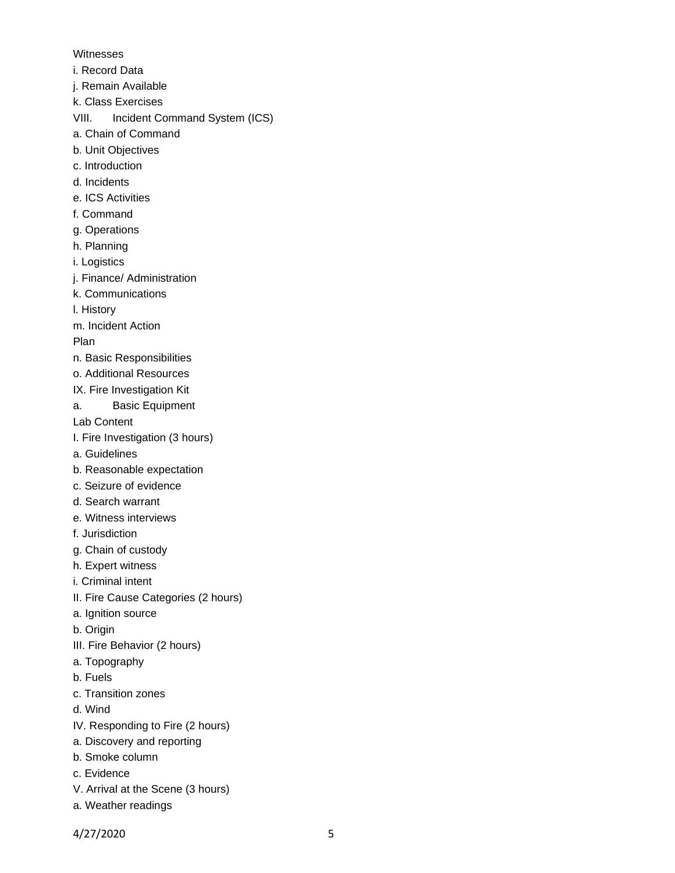Witnesses

- i. Record Data
- j. Remain Available
- k. Class Exercises
- VIII. Incident Command System (ICS)
- a. Chain of Command
- b. Unit Objectives
- c. Introduction
- d. Incidents
- e. ICS Activities
- f. Command
- g. Operations
- h. Planning
- i. Logistics
- j. Finance/ Administration
- k. Communications
- l. History
- m. Incident Action
- Plan
- n. Basic Responsibilities
- o. Additional Resources
- IX. Fire Investigation Kit
- a. Basic Equipment

Lab Content

- I. Fire Investigation (3 hours)
- a. Guidelines
- b. Reasonable expectation
- c. Seizure of evidence
- d. Search warrant
- e. Witness interviews
- f. Jurisdiction
- g. Chain of custody
- h. Expert witness
- i. Criminal intent
- II. Fire Cause Categories (2 hours)
- a. Ignition source
- b. Origin
- III. Fire Behavior (2 hours)
- a. Topography
- b. Fuels
- c. Transition zones
- d. Wind
- IV. Responding to Fire (2 hours)
- a. Discovery and reporting
- b. Smoke column
- c. Evidence
- V. Arrival at the Scene (3 hours)
- a. Weather readings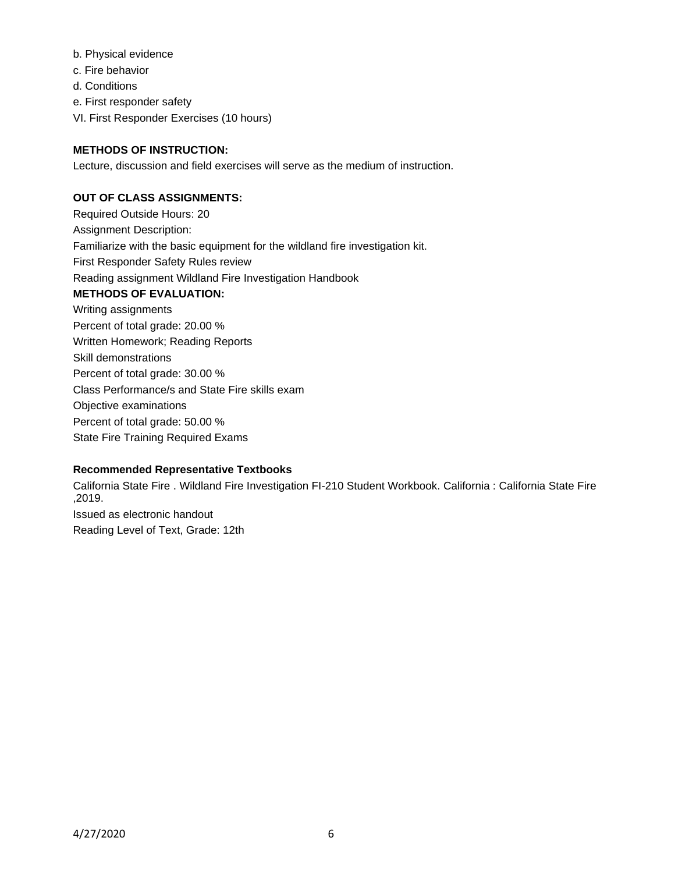- b. Physical evidence
- c. Fire behavior
- d. Conditions
- e. First responder safety
- VI. First Responder Exercises (10 hours)

# **METHODS OF INSTRUCTION:**

Lecture, discussion and field exercises will serve as the medium of instruction.

# **OUT OF CLASS ASSIGNMENTS:**

Required Outside Hours: 20 Assignment Description: Familiarize with the basic equipment for the wildland fire investigation kit. First Responder Safety Rules review Reading assignment Wildland Fire Investigation Handbook **METHODS OF EVALUATION:** Writing assignments Percent of total grade: 20.00 % Written Homework; Reading Reports Skill demonstrations Percent of total grade: 30.00 % Class Performance/s and State Fire skills exam Objective examinations Percent of total grade: 50.00 % State Fire Training Required Exams

## **Recommended Representative Textbooks**

California State Fire . Wildland Fire Investigation FI-210 Student Workbook. California : California State Fire ,2019. Issued as electronic handout Reading Level of Text, Grade: 12th